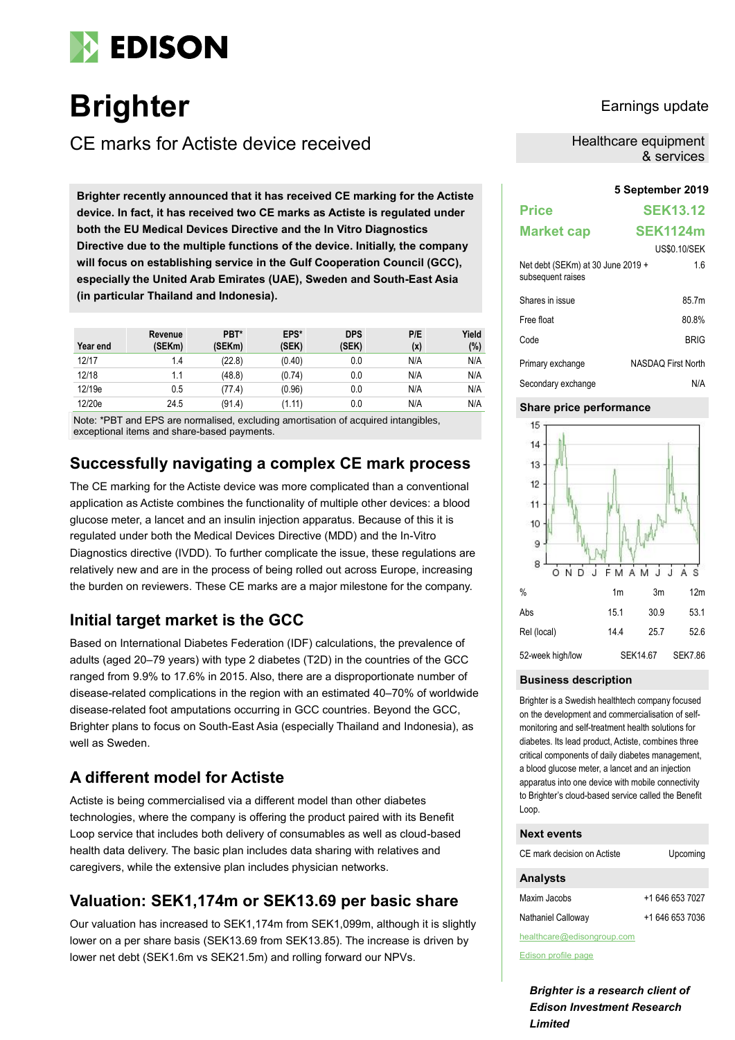

# **Brighter** Earnings update

CE marks for Actiste device received

**5 September 2019 Brighter recently announced that it has received CE marking for the Actiste device. In fact, it has received two CE marks as Actiste is regulated under both the EU Medical Devices Directive and the In Vitro Diagnostics Directive due to the multiple functions of the device. Initially, the company will focus on establishing service in the Gulf Cooperation Council (GCC), especially the United Arab Emirates (UAE), Sweden and South-East Asia (in particular Thailand and Indonesia).** 

| Year end | Revenue<br>(SEKm) | PBT*<br>(SEKm) | EPS*<br>(SEK) | <b>DPS</b><br>(SEK) | P/E<br>(x) | Yield<br>(%) |
|----------|-------------------|----------------|---------------|---------------------|------------|--------------|
| 12/17    | 1.4               | (22.8)         | (0.40)        | 0.0                 | N/A        | N/A          |
| 12/18    | 1.1               | (48.8)         | (0.74)        | 0.0                 | N/A        | N/A          |
| 12/19e   | 0.5               | (77.4)         | (0.96)        | 0.0                 | N/A        | N/A          |
| 12/20e   | 24.5              | (91.4)         | (1.11)        | 0.0                 | N/A        | N/A          |

Note: \*PBT and EPS are normalised, excluding amortisation of acquired intangibles, exceptional items and share-based payments.

### **Successfully navigating a complex CE mark process**

The CE marking for the Actiste device was more complicated than a conventional application as Actiste combines the functionality of multiple other devices: a blood glucose meter, a lancet and an insulin injection apparatus. Because of this it is regulated under both the Medical Devices Directive (MDD) and the In-Vitro Diagnostics directive (IVDD). To further complicate the issue, these regulations are relatively new and are in the process of being rolled out across Europe, increasing the burden on reviewers. These CE marks are a major milestone for the company.

### **Initial target market is the GCC**

Based on International Diabetes Federation (IDF) calculations, the prevalence of adults (aged 20–79 years) with type 2 diabetes (T2D) in the countries of the GCC ranged from 9.9% to 17.6% in 2015. Also, there are a disproportionate number of disease-related complications in the region with an estimated 40–70% of worldwide disease-related foot amputations occurring in GCC countries. Beyond the GCC, Brighter plans to focus on South-East Asia (especially Thailand and Indonesia), as well as Sweden.

### **A different model for Actiste**

Actiste is being commercialised via a different model than other diabetes technologies, where the company is offering the product paired with its Benefit Loop service that includes both delivery of consumables as well as cloud-based health data delivery. The basic plan includes data sharing with relatives and caregivers, while the extensive plan includes physician networks.

### **Valuation: SEK1,174m or SEK13.69 per basic share**

Our valuation has increased to SEK1,174m from SEK1,099m, although it is slightly lower on a per share basis (SEK13.69 from SEK13.85). The increase is driven by lower net debt (SEK1.6m vs SEK21.5m) and rolling forward our NPVs.

Healthcare equipment & services

| <b>Price</b>                                           | <b>SEK13.12</b>     |
|--------------------------------------------------------|---------------------|
| <b>Market cap</b>                                      | <b>SEK1124m</b>     |
|                                                        | <b>US\$0.10/SEK</b> |
| Net debt (SEKm) at 30 June 2019 +<br>subsequent raises | 1.6                 |
| Shares in issue                                        | 85.7m               |
| Free float                                             | 80.8%               |
| Code                                                   | <b>BRIG</b>         |
| Primary exchange                                       | NASDAO First North  |
| Secondary exchange                                     | N/A                 |

### **Share price performance**



### **Business description**

Brighter is a Swedish healthtech company focused on the development and commercialisation of selfmonitoring and self-treatment health solutions for diabetes. Its lead product, Actiste, combines three critical components of daily diabetes management, a blood glucose meter, a lancet and an injection apparatus into one device with mobile connectivity to Brighter's cloud-based service called the Benefit Loop.

#### **Next events**

| CE mark decision on Actiste | Upcoming        |  |  |
|-----------------------------|-----------------|--|--|
| <b>Analysts</b>             |                 |  |  |
| Maxim Jacobs                | +1 646 653 7027 |  |  |
| Nathaniel Calloway          | +1 646 653 7036 |  |  |

healthcare@edisongroup.com

[Edison profile page](https://www.edisongroup.com/company/brighter/)

*Brighter is a research client of Edison Investment Research Limited*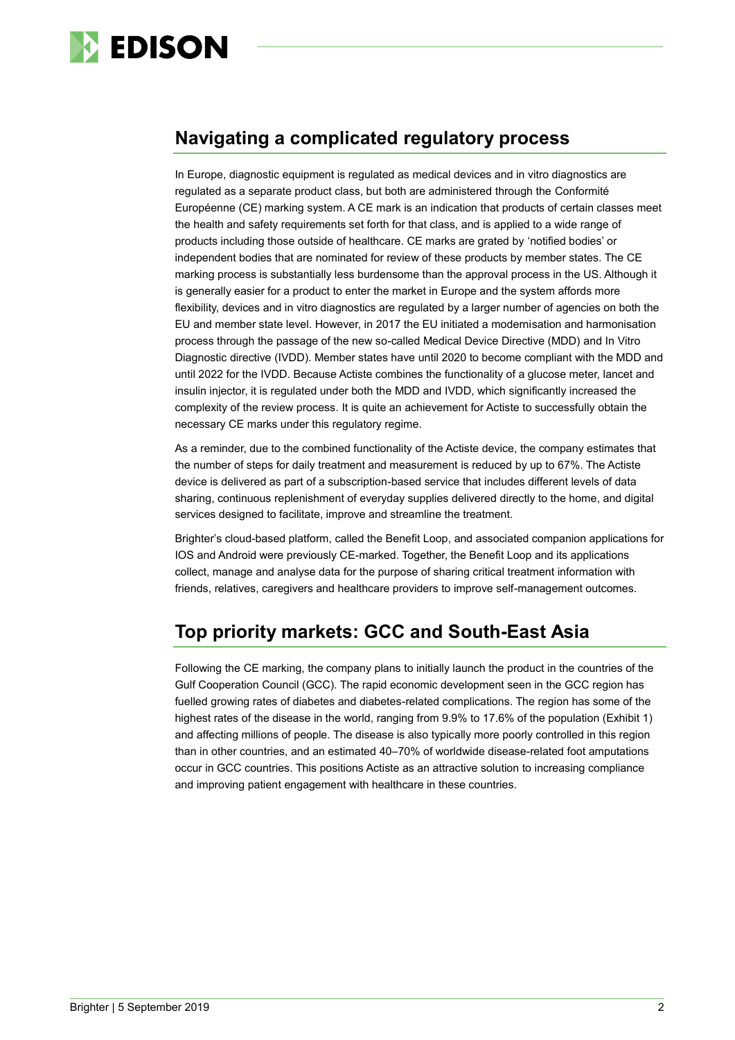

## **Navigating a complicated regulatory process**

In Europe, diagnostic equipment is regulated as medical devices and in vitro diagnostics are regulated as a separate product class, but both are administered through the Conformité Européenne (CE) marking system. A CE mark is an indication that products of certain classes meet the health and safety requirements set forth for that class, and is applied to a wide range of products including those outside of healthcare. CE marks are grated by 'notified bodies' or independent bodies that are nominated for review of these products by member states. The CE marking process is substantially less burdensome than the approval process in the US. Although it is generally easier for a product to enter the market in Europe and the system affords more flexibility, devices and in vitro diagnostics are regulated by a larger number of agencies on both the EU and member state level. However, in 2017 the EU initiated a modernisation and harmonisation process through the passage of the new so-called Medical Device Directive (MDD) and In Vitro Diagnostic directive (IVDD). Member states have until 2020 to become compliant with the MDD and until 2022 for the IVDD. Because Actiste combines the functionality of a glucose meter, lancet and insulin injector, it is regulated under both the MDD and IVDD, which significantly increased the complexity of the review process. It is quite an achievement for Actiste to successfully obtain the necessary CE marks under this regulatory regime.

As a reminder, due to the combined functionality of the Actiste device, the company estimates that the number of steps for daily treatment and measurement is reduced by up to 67%. The Actiste device is delivered as part of a subscription-based service that includes different levels of data sharing, continuous replenishment of everyday supplies delivered directly to the home, and digital services designed to facilitate, improve and streamline the treatment.

Brighter's cloud-based platform, called the Benefit Loop, and associated companion applications for IOS and Android were previously CE-marked. Together, the Benefit Loop and its applications collect, manage and analyse data for the purpose of sharing critical treatment information with friends, relatives, caregivers and healthcare providers to improve self-management outcomes.

## **Top priority markets: GCC and South-East Asia**

Following the CE marking, the company plans to initially launch the product in the countries of the Gulf Cooperation Council (GCC). The rapid economic development seen in the GCC region has fuelled growing rates of diabetes and diabetes-related complications. The region has some of the highest rates of the disease in the world, ranging from 9.9% to 17.6% of the population (Exhibit 1) and affecting millions of people. The disease is also typically more poorly controlled in this region than in other countries, and an estimated 40–70% of worldwide disease-related foot amputations occur in GCC countries. This positions Actiste as an attractive solution to increasing compliance and improving patient engagement with healthcare in these countries.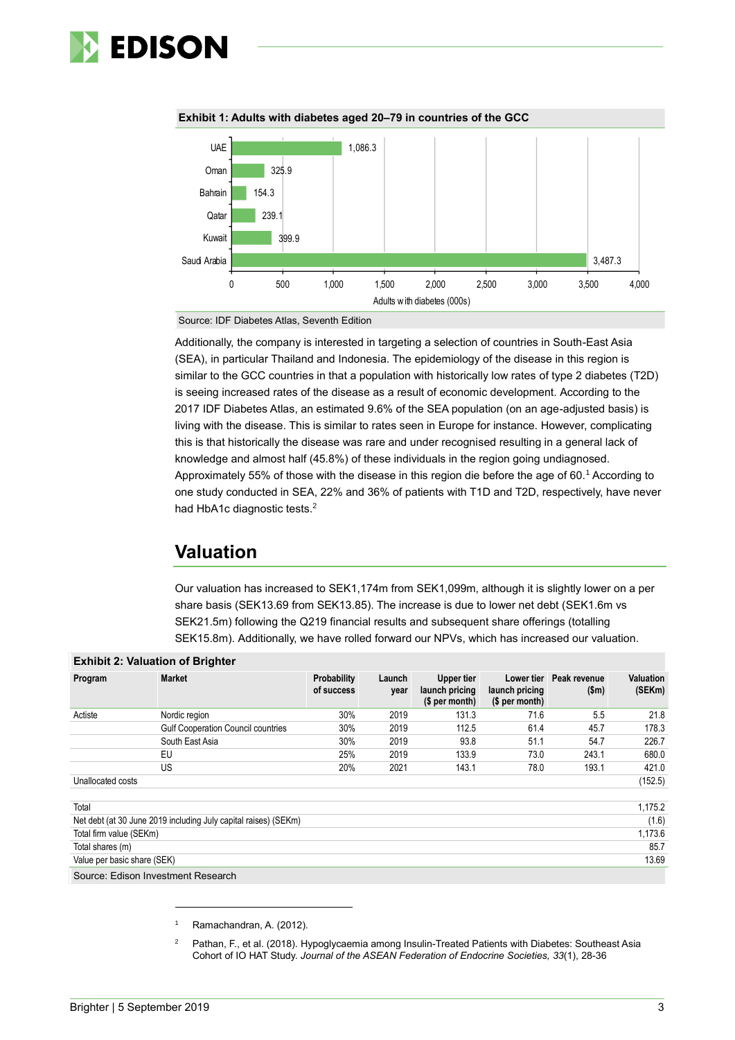





Source: IDF Diabetes Atlas, Seventh Edition

Additionally, the company is interested in targeting a selection of countries in South-East Asia (SEA), in particular Thailand and Indonesia. The epidemiology of the disease in this region is similar to the GCC countries in that a population with historically low rates of type 2 diabetes (T2D) is seeing increased rates of the disease as a result of economic development. According to the 2017 IDF Diabetes Atlas, an estimated 9.6% of the SEA population (on an age-adjusted basis) is living with the disease. This is similar to rates seen in Europe for instance. However, complicating this is that historically the disease was rare and under recognised resulting in a general lack of knowledge and almost half (45.8%) of these individuals in the region going undiagnosed. Approximately 55% of those with the disease in this region die before the age of 60.<sup>1</sup> According to one study conducted in SEA, 22% and 36% of patients with T1D and T2D, respectively, have never had HbA1c diagnostic tests.<sup>2</sup>

### **Valuation**

Our valuation has increased to SEK1,174m from SEK1,099m, although it is slightly lower on a per share basis (SEK13.69 from SEK13.85). The increase is due to lower net debt (SEK1.6m vs SEK21.5m) following the Q219 financial results and subsequent share offerings (totalling SEK15.8m). Additionally, we have rolled forward our NPVs, which has increased our valuation.

| Program                                                         | <b>Market</b>                             | Probability<br>of success | Launch<br>year | Upper tier<br>launch pricing<br>$$$ per month) | Lower tier<br>launch pricing<br>$$$ per month) | Peak revenue<br>(Sm) | Valuation<br>(SEKm) |
|-----------------------------------------------------------------|-------------------------------------------|---------------------------|----------------|------------------------------------------------|------------------------------------------------|----------------------|---------------------|
| Actiste                                                         | Nordic region                             | 30%                       | 2019           | 131.3                                          | 71.6                                           | 5.5                  | 21.8                |
|                                                                 | <b>Gulf Cooperation Council countries</b> | 30%                       | 2019           | 112.5                                          | 61.4                                           | 45.7                 | 178.3               |
|                                                                 | South East Asia                           | 30%                       | 2019           | 93.8                                           | 51.1                                           | 54.7                 | 226.7               |
|                                                                 | EU                                        | 25%                       | 2019           | 133.9                                          | 73.0                                           | 243.1                | 680.0               |
|                                                                 | US                                        | 20%                       | 2021           | 143.1                                          | 78.0                                           | 193.1                | 421.0               |
| Unallocated costs                                               |                                           |                           |                |                                                |                                                |                      | (152.5)             |
| Total                                                           |                                           |                           |                |                                                |                                                |                      | 1,175.2             |
| Net debt (at 30 June 2019 including July capital raises) (SEKm) |                                           |                           |                |                                                |                                                | (1.6)                |                     |
| Total firm value (SEKm)                                         |                                           |                           |                |                                                |                                                | 1,173.6              |                     |
| Total shares (m)                                                |                                           |                           |                |                                                | 85.7                                           |                      |                     |
| Value per basic share (SEK)                                     |                                           |                           |                |                                                |                                                | 13.69                |                     |
| Source: Edison Investment Research                              |                                           |                           |                |                                                |                                                |                      |                     |

#### **Exhibit 2: Valuation of Brighter**

Ramachandran, A. (2012).

<sup>2</sup> Pathan, F., et al. (2018). Hypoglycaemia among Insulin-Treated Patients with Diabetes: Southeast Asia Cohort of IO HAT Study. *Journal of the ASEAN Federation of Endocrine Societies, 33*(1), 28-36

 $\overline{a}$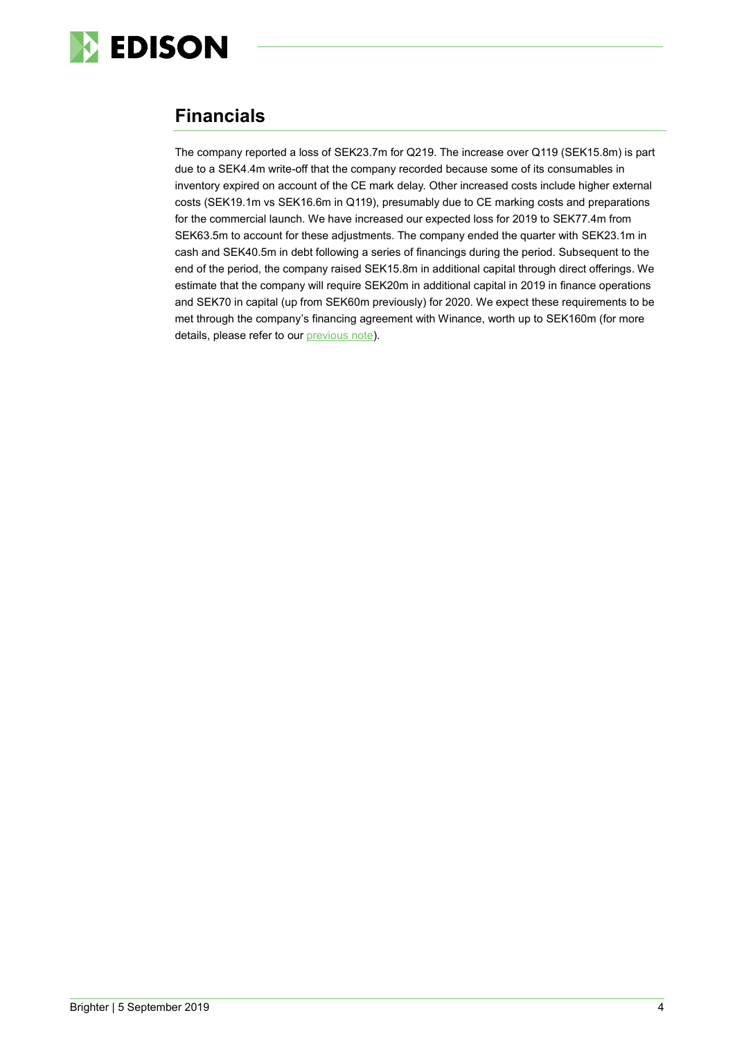

## **Financials**

The company reported a loss of SEK23.7m for Q219. The increase over Q119 (SEK15.8m) is part due to a SEK4.4m write-off that the company recorded because some of its consumables in inventory expired on account of the CE mark delay. Other increased costs include higher external costs (SEK19.1m vs SEK16.6m in Q119), presumably due to CE marking costs and preparations for the commercial launch. We have increased our expected loss for 2019 to SEK77.4m from SEK63.5m to account for these adjustments. The company ended the quarter with SEK23.1m in cash and SEK40.5m in debt following a series of financings during the period. Subsequent to the end of the period, the company raised SEK15.8m in additional capital through direct offerings. We estimate that the company will require SEK20m in additional capital in 2019 in finance operations and SEK70 in capital (up from SEK60m previously) for 2020. We expect these requirements to be met through the company's financing agreement with Winance, worth up to SEK160m (for more details, please refer to our [previous note\)](https://www.edisongroup.com/publication/waiting-on-the-ce-mark/24395/).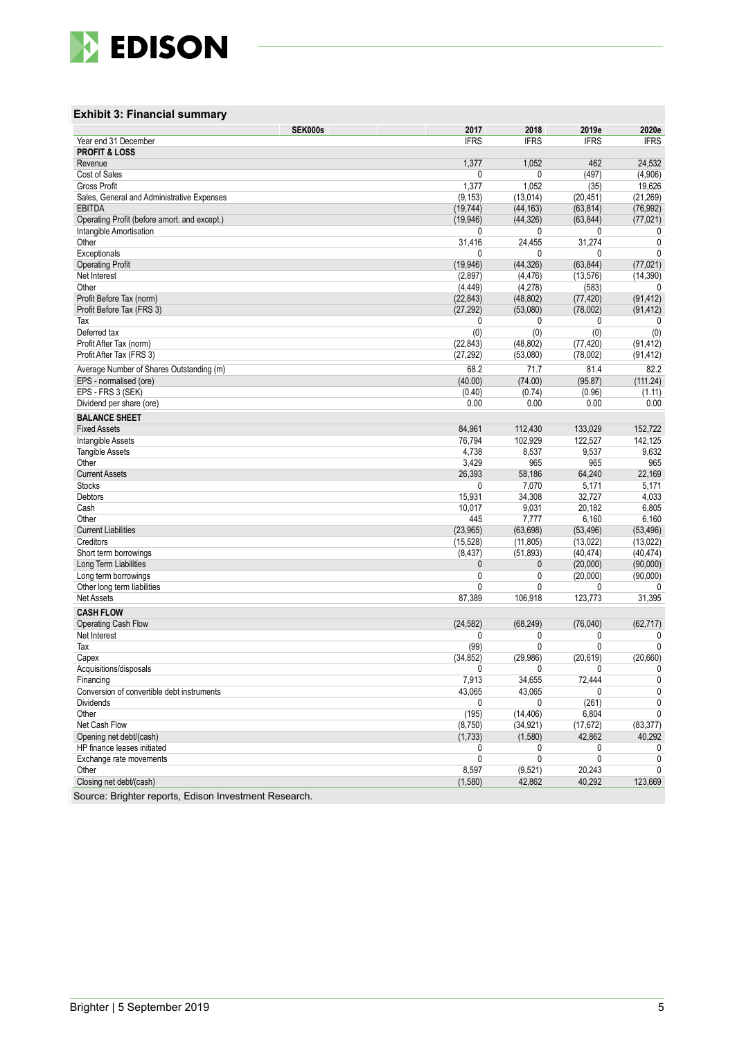

### **Exhibit 3: Financial summary**

|                                                       | 2017<br><b>SEK000s</b> | 2018           | 2019e          | 2020e                  |
|-------------------------------------------------------|------------------------|----------------|----------------|------------------------|
| Year end 31 December                                  | <b>IFRS</b>            | <b>IFRS</b>    | <b>IFRS</b>    | <b>IFRS</b>            |
| <b>PROFIT &amp; LOSS</b>                              |                        |                |                |                        |
| Revenue                                               | 1,377                  | 1,052          | 462            | 24,532                 |
| Cost of Sales                                         | 0                      | 0              | (497)          | (4,906)                |
| Gross Profit                                          | 1,377                  | 1,052          | (35)           | 19,626                 |
| Sales, General and Administrative Expenses            | (9, 153)               | (13, 014)      | (20, 451)      | (21, 269)              |
| <b>EBITDA</b>                                         | (19, 744)              | (44, 163)      | (63, 814)      | (76, 992)              |
| Operating Profit (before amort. and except.)          | (19, 946)              | (44, 326)      | (63, 844)      | (77, 021)              |
| Intangible Amortisation                               | 0                      | 0              | 0              | 0                      |
| Other                                                 | 31,416<br>0            | 24,455         | 31,274         | 0<br>$\mathbf{0}$      |
| Exceptionals<br><b>Operating Profit</b>               | (19, 946)              | 0<br>(44, 326) | 0<br>(63, 844) |                        |
| Net Interest                                          | (2, 897)               | (4, 476)       | (13, 576)      | (77, 021)<br>(14, 390) |
| Other                                                 | (4, 449)               | (4,278)        | (583)          | 0                      |
| Profit Before Tax (norm)                              | (22, 843)              | (48, 802)      | (77, 420)      | (91, 412)              |
| Profit Before Tax (FRS 3)                             | (27, 292)              | (53,080)       | (78,002)       | (91, 412)              |
| Tax                                                   | 0                      | 0              | 0              | $\mathbf{0}$           |
| Deferred tax                                          | (0)                    | (0)            | (0)            | (0)                    |
| Profit After Tax (norm)                               | (22, 843)              | (48, 802)      | (77, 420)      | (91, 412)              |
| Profit After Tax (FRS 3)                              | (27, 292)              | (53,080)       | (78,002)       | (91, 412)              |
| Average Number of Shares Outstanding (m)              | 68.2                   | 71.7           | 81.4           | 82.2                   |
| EPS - normalised (ore)                                | (40.00)                | (74.00)        | (95.87)        |                        |
| EPS - FRS 3 (SEK)                                     | (0.40)                 | (0.74)         | (0.96)         | (111.24)<br>(1.11)     |
| Dividend per share (ore)                              | 0.00                   | 0.00           | 0.00           | 0.00                   |
|                                                       |                        |                |                |                        |
| <b>BALANCE SHEET</b>                                  |                        |                |                |                        |
| <b>Fixed Assets</b>                                   | 84,961                 | 112,430        | 133,029        | 152,722                |
| Intangible Assets                                     | 76,794                 | 102,929        | 122,527        | 142,125                |
| <b>Tangible Assets</b><br>Other                       | 4,738<br>3,429         | 8,537<br>965   | 9,537<br>965   | 9,632<br>965           |
| <b>Current Assets</b>                                 | 26,393                 | 58,186         | 64,240         | 22,169                 |
| <b>Stocks</b>                                         | 0                      | 7,070          | 5,171          | 5,171                  |
| Debtors                                               | 15,931                 | 34,308         | 32,727         | 4,033                  |
| Cash                                                  | 10,017                 | 9,031          | 20,182         | 6,805                  |
| Other                                                 | 445                    | 7,777          | 6,160          | 6,160                  |
| <b>Current Liabilities</b>                            | (23,965)               | (63, 698)      | (53, 496)      | (53, 496)              |
| Creditors                                             | (15, 528)              | (11, 805)      | (13, 022)      | (13, 022)              |
| Short term borrowings                                 | (8, 437)               | (51, 893)      | (40, 474)      | (40, 474)              |
| Long Term Liabilities                                 | 0                      | $\mathbf{0}$   | (20,000)       | (90,000)               |
| Long term borrowings                                  | 0                      | 0              | (20,000)       | (90,000)               |
| Other long term liabilities                           | 0                      | 0              | 0              | $\mathbf{0}$           |
| <b>Net Assets</b>                                     | 87,389                 | 106,918        | 123,773        | 31,395                 |
| <b>CASH FLOW</b>                                      |                        |                |                |                        |
| Operating Cash Flow                                   | (24, 582)              | (68, 249)      | (76,040)       | (62, 717)              |
| Net Interest                                          | 0                      | 0              | 0              | 0                      |
| Tax                                                   | (99)                   | 0              | $\mathbf{0}$   | 0                      |
| Capex                                                 | (34, 852)              | (29, 986)      | (20, 619)      | (20, 660)              |
| Acquisitions/disposals                                | 0                      | 0              | $\mathbf{0}$   | $\mathbf{0}$           |
| Financing                                             | 7,913                  | 34,655         | 72,444         | 0                      |
| Conversion of convertible debt instruments            | 43,065                 | 43,065         | $\mathbf{0}$   | 0                      |
| <b>Dividends</b>                                      | 0                      | 0              | (261)          | 0                      |
| Other                                                 | (195)                  | (14, 406)      | 6,804          | 0                      |
| Net Cash Flow                                         | (8,750)                | (34, 921)      | (17, 672)      | (83, 377)              |
| Opening net debt/(cash)                               | (1,733)                | (1,580)        | 42,862         | 40,292                 |
| HP finance leases initiated                           | 0                      | 0              | 0              | 0                      |
| Exchange rate movements                               | 0                      | 0              | $\mathbf{0}$   | 0                      |
| Other                                                 | 8,597                  | (9, 521)       | 20,243         | 0                      |
| Closing net debt/(cash)                               | (1,580)                | 42,862         | 40,292         | 123,669                |
| Source: Brighter reports, Edison Investment Research. |                        |                |                |                        |